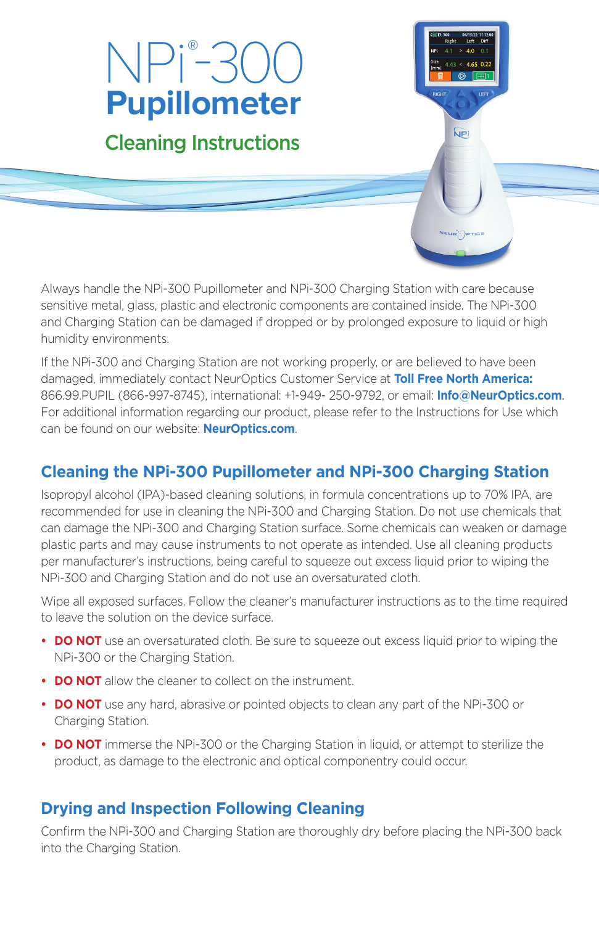# NPi® -300 **Pupillometer**

# Cleaning Instructions

Always handle the NPi-300 Pupillometer and NPi-300 Charging Station with care because sensitive metal, glass, plastic and electronic components are contained inside. The NPi-300 and Charging Station can be damaged if dropped or by prolonged exposure to liquid or high humidity environments.

**NP** 

**NEUR** Price

If the NPi-300 and Charging Station are not working properly, or are believed to have been damaged, immediately contact NeurOptics Customer Service at **Toll Free North America:** 866.99.PUPIL (866-997-8745), international: +1-949- 250-9792, or email: **Info@NeurOptics.com**. For additional information regarding our product, please refer to the Instructions for Use which can be found on our website: **NeurOptics.com**.

## **Cleaning the NPi-300 Pupillometer and NPi-300 Charging Station**

Isopropyl alcohol (IPA)-based cleaning solutions, in formula concentrations up to 70% IPA, are recommended for use in cleaning the NPi-300 and Charging Station. Do not use chemicals that can damage the NPi-300 and Charging Station surface. Some chemicals can weaken or damage plastic parts and may cause instruments to not operate as intended. Use all cleaning products per manufacturer's instructions, being careful to squeeze out excess liquid prior to wiping the NPi-300 and Charging Station and do not use an oversaturated cloth.

Wipe all exposed surfaces. Follow the cleaner's manufacturer instructions as to the time required to leave the solution on the device surface.

- **DO NOT** use an oversaturated cloth. Be sure to squeeze out excess liquid prior to wiping the NPi-300 or the Charging Station.
- **DO NOT** allow the cleaner to collect on the instrument.
- **DO NOT** use any hard, abrasive or pointed objects to clean any part of the NPi-300 or Charging Station.
- **DO NOT** immerse the NPi-300 or the Charging Station in liquid, or attempt to sterilize the product, as damage to the electronic and optical componentry could occur.

#### **Drying and Inspection Following Cleaning**

Confirm the NPi-300 and Charging Station are thoroughly dry before placing the NPi-300 back into the Charging Station.